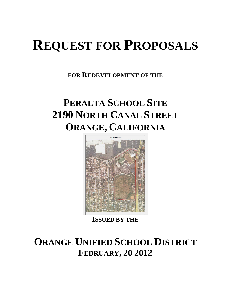# **REQUEST FOR PROPOSALS**

**FOR REDEVELOPMENT OF THE**

## **PERALTA SCHOOL SITE 2190 NORTH CANAL STREET ORANGE, CALIFORNIA**



**ISSUED BY THE**

## **ORANGE UNIFIED SCHOOL DISTRICT FEBRUARY, 20 2012**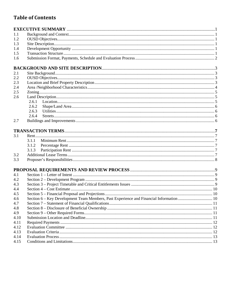## **Table of Contents**

| 1.1  |                                                                                         |  |  |  |  |
|------|-----------------------------------------------------------------------------------------|--|--|--|--|
| 1.2  |                                                                                         |  |  |  |  |
| 1.3  |                                                                                         |  |  |  |  |
| 1.4  |                                                                                         |  |  |  |  |
| 1.5  |                                                                                         |  |  |  |  |
| 1.6  |                                                                                         |  |  |  |  |
|      |                                                                                         |  |  |  |  |
| 2.1  |                                                                                         |  |  |  |  |
| 2.2  |                                                                                         |  |  |  |  |
| 2.3  |                                                                                         |  |  |  |  |
| 2.4  |                                                                                         |  |  |  |  |
| 2.5  |                                                                                         |  |  |  |  |
| 2.6  |                                                                                         |  |  |  |  |
|      | 2.6.1                                                                                   |  |  |  |  |
|      | 2.6.2                                                                                   |  |  |  |  |
|      | 2.6.3                                                                                   |  |  |  |  |
|      | 2.6.4                                                                                   |  |  |  |  |
| 2.7  |                                                                                         |  |  |  |  |
|      |                                                                                         |  |  |  |  |
| 3.1  |                                                                                         |  |  |  |  |
|      | 3.1.1                                                                                   |  |  |  |  |
|      | 3.1.2                                                                                   |  |  |  |  |
|      | 3.1.3                                                                                   |  |  |  |  |
| 3.2  |                                                                                         |  |  |  |  |
| 3.3  |                                                                                         |  |  |  |  |
|      |                                                                                         |  |  |  |  |
| 4.1  |                                                                                         |  |  |  |  |
| 4.2  |                                                                                         |  |  |  |  |
| 4.3  |                                                                                         |  |  |  |  |
| 4.4  |                                                                                         |  |  |  |  |
| 4.5  |                                                                                         |  |  |  |  |
| 4.6  | Section 6 – Key Development Team Members, Past Experience and Financial Information  10 |  |  |  |  |
| 4.7  |                                                                                         |  |  |  |  |
| 4.8  |                                                                                         |  |  |  |  |
| 4.9  |                                                                                         |  |  |  |  |
| 4.10 |                                                                                         |  |  |  |  |
| 4.11 |                                                                                         |  |  |  |  |
| 4.12 |                                                                                         |  |  |  |  |
| 4.13 |                                                                                         |  |  |  |  |
| 4.14 |                                                                                         |  |  |  |  |
| 4.15 |                                                                                         |  |  |  |  |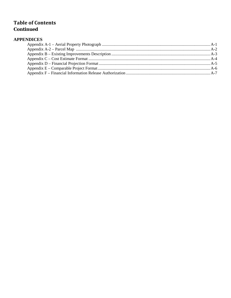### **Table of Contents Continued**

#### **APPENDICES**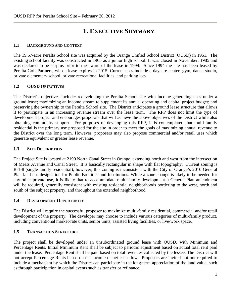## **1. EXECUTIVE SUMMARY**

#### **1.1 BACKGROUND AND CONTEXT**

The 19.57-acre Peralta School site was acquired by the Orange Unified School District (OUSD) in 1961. The existing school facility was constructed in 1965 as a junior high school. It was closed in November, 1985 and was declared to be surplus prior to the award of the lease in 1994. Since 1994 the site has been leased by Peralta Golf Partners, whose lease expires in 2015. Current uses include a daycare center, gym, dance studio, private elementary school, private recreational facilities, and parking lots.

#### **1.2 OUSD OBJECTIVES**

The District's objectives include: redeveloping the Peralta School site with income-generating uses under a ground lease; maximizing an income stream to supplement its annual operating and capital project budget; and preserving the ownership to the Peralta School site. The District anticipates a ground lease structure that allows it to participate in an increasing revenue stream over the lease term. The RFP does not limit the type of development project and encourages proposals that will achieve the above objectives of the District while also obtaining community support. For purposes of developing this RFP, it is contemplated that multi-family residential is the primary use proposed for the site in order to meet the goals of maximizing annual revenue to the District over the long term. However, proposers may also propose commercial and/or retail uses which generate equivalent or greater lease revenue.

#### **1.3 SITE DESCRIPTION**

The Project Site is located at 2190 North Canal Street in Orange, extending north and west from the intersection of Meats Avenue and Canal Street. It is basically rectangular in shape with flat topography. Current zoning is R-1-8 (single family residential); however, this zoning is inconsistent with the City of Orange's 2010 General Plan land use designation for Public Facilities and Institutions. While a zone change is likely to be needed for any other private use, it is likely that to accommodate multi-family development a General Plan amendment will be required, generally consistent with existing residential neighborhoods bordering to the west, north and south of the subject property, and throughout the extended neighborhood.

#### **1.4 DEVELOPMENT OPPORTUNITY**

The District will require the successful proposer to maximize multi-family residential, commercial and/or retail development of the property. The developer may choose to include various categories of multi-family product, including conventional market-rate units, senior units, assisted living facilities, or live/work space.

#### **1.5 TRANSACTION STRUCTURE**

The project shall be developed under an unsubordinated ground lease with OUSD, with Minimum and Percentage Rents. Initial Minimum Rent shall be subject to periodic adjustment based on actual total rent paid under the lease. Percentage Rent shall be paid based on total revenues collected by the lessee. The District will not accept Percentage Rents based on net income or net cash flow. Proposers are invited but not required to include a mechanism by which the District can participate in the long-term appreciation of the land value, such as through participation in capital events such as transfer or refinance.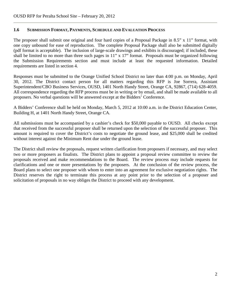#### **1.6 SUBMISSION FORMAT, PAYMENTS, SCHEDULE AND EVALUATION PROCESS**

The proposer shall submit one original and four hard copies of a Proposal Package in 8.5" x 11" format, with one copy unbound for ease of reproduction. The complete Proposal Package shall also be submitted digitally (pdf format is acceptable). The inclusion of large-scale drawings and exhibits is discouraged; if included, these shall be limited to no more than three such pages in 11" x 17" format. Proposals must be organized following the Submission Requirements section and must include at least the requested information. Detailed requirements are listed in section 4.

Responses must be submitted to the Orange Unified School District no later than 4:00 p.m. on Monday, April 30, 2012. The District contact person for all matters regarding this RFP is Joe Sorrera, Assistant Superintendent/CBO Business Services, OUSD, 1401 North Handy Street, Orange CA, 92867, (714) 628-4059. All correspondence regarding the RFP process must be in writing or by email, and shall be made available to all proposers. No verbal questions will be answered except at the Bidders' Conference.

A Bidders' Conference shall be held on Monday, March 5, 2012 at 10:00 a.m. in the District Education Center, Building H, at 1401 North Handy Street, Orange CA.

All submissions must be accompanied by a cashier's check for \$50,000 payable to OUSD. All checks except that received from the successful proposer shall be returned upon the selection of the successful proposer. This amount is required to cover the District's costs to negotiate the ground lease, and \$25,000 shall be credited without interest against the Minimum Rent due under the ground lease.

The District shall review the proposals, request written clarification from proposers if necessary, and may select two or more proposers as finalists. The District plans to appoint a proposal review committee to review the proposals received and make recommendations to the Board. The review process may include requests for clarifications and one or more presentations by the proposers. At the conclusion of the review process, the Board plans to select one proposer with whom to enter into an agreement for exclusive negotiation rights. The District reserves the right to terminate this process at any point prior to the selection of a proposer and solicitation of proposals in no way obliges the District to proceed with any development.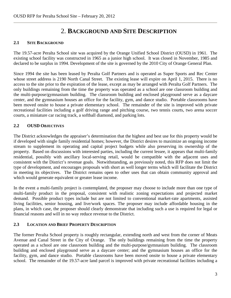## 2. **BACKGROUND AND SITE DESCRIPTION**

#### **2.1 SITE BACKGROUND**

The 19.57-acre Peralta School site was acquired by the Orange Unified School District (OUSD) in 1961. The existing school facility was constructed in 1965 as a junior high school. It was closed in November, 1985 and declared to be surplus in 1994. Development of the site is governed by the 2010 City of Orange General Plan.

Since 1994 the site has been leased by Peralta Golf Partners and is operated as Super Sports and Rec Center whose street address is 2190 North Canal Street. The existing lease will expire on April 1, 2015. There is no access to the site prior to the expiration of the lease, except as may be arranged with Peralta Golf Partners. The only buildings remaining from the time the property was operated as a school are one classroom building and the multi-purpose/gymnasium building. The classroom building and enclosed playground serve as a daycare center, and the gymnasium houses an office for the facility, gym, and dance studio. Portable classrooms have been moved onsite to house a private elementary school. The remainder of the site is improved with private recreational facilities including a golf driving range and pitching course, two tennis courts, two arena soccer courts, a miniature car racing track, a softball diamond, and parking lots.

#### **2.2 OUSD OBJECTIVES**

The District acknowledges the appraiser's determination that the highest and best use for this property would be if developed with single family residential homes; however, the District desires to maximize an ongoing income stream to supplement its operating and capital project budgets while also preserving its ownership of the property. Based on discussions with interested parties, including the current lessee, it appears that multi-family residential, possibly with ancillary local-serving retail, would be compatible with the adjacent uses and consistent with the District's revenue goals. Notwithstanding, as previously noted, this RFP does not limit the type of development, and encourages proposals with short as well longer terms which will facilitate the District in meeting its objectives. The District remains open to other uses that can obtain community approval and which would generate equivalent or greater lease income.

In the event a multi-family project is contemplated, the proposer may choose to include more than one type of multi-family product in the proposal, consistent with realistic zoning expectations and projected market demand. Possible product types include but are not limited to conventional market-rate apartments, assisted living facilities, senior housing, and live/work spaces. The proposer may include affordable housing in the plans, in which case, the proposer should clearly demonstrate that including such a use is required for legal or financial reasons and will in no way reduce revenue to the District.

#### **2.3 LOCATION AND BRIEF PROPERTY DESCRIPTION**

The former Peralta School property is roughly rectangular, extending north and west from the corner of Meats Avenue and Canal Street in the City of Orange. The only buildings remaining from the time the property operated as a school are one classroom building and the multi-purpose/gymnasium building. The classroom building and enclosed playground serve as a daycare center; and the gymnasium houses an office for the facility, gym, and dance studio. Portable classrooms have been moved onsite to house a private elementary school. The remainder of the 19.57-acre land parcel is improved with private recreational facilities including a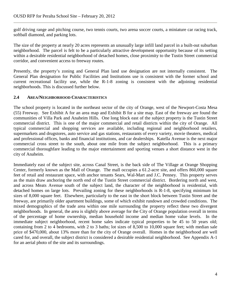golf driving range and pitching course, two tennis courts, two arena soccer courts, a miniature car racing track, softball diamond, and parking lots.

The size of the property at nearly 20 acres represents an unusually large infill land parcel in a built-out suburban neighborhood. The parcel is felt to be a particularly attractive development opportunity because of its setting within a desirable residential neighborhood of detached homes, close proximity to the Tustin Street commercial corridor, and convenient access to freeway routes.

Presently, the property's zoning and General Plan land use designation are not internally consistent. The General Plan designation for Public Facilities and Institutions use is consistent with the former school and current recreational facility use, while the R-1-8 zoning is consistent with the adjoining residential neighborhoods. This is discussed further below.

#### **2.4 AREA/NEIGHBORHOOD CHARACTERISTICS**

The school property is located in the northeast sector of the city of Orange, west of the Newport-Costa Mesa (55) Freeway. See Exhibit A for an area map and Exhibit B for a site map. East of the freeway are found the communities of Villa Park and Anaheim Hills. One long block east of the subject property is the Tustin Street commercial district. This is one of the major commercial and retail districts within the city of Orange. All typical commercial and shopping services are available, including regional and neighborhood retailers, supermarkets and drugstores, auto service and gas stations, restaurants of every variety, movie theaters, medical and professional offices, banks and financial institutions, and car dealerships. Katella Avenue is the next major commercial cross street to the south, about one mile from the subject neighborhood. This is a primary commercial thoroughfare leading to the major entertainment and sporting venues a short distance west in the city of Anaheim.

Immediately east of the subject site, across Canal Street, is the back side of The Village at Orange Shopping Center, formerly known as the Mall of Orange. The mall occupies a 61.2-acre site, and offers 860,000 square feet of retail and restaurant space, with anchor tenants Sears, Wal-Mart and J.C. Penney. This property serves as the main draw anchoring the north end of the Tustin Street commercial district. Bordering north and west, and across Meats Avenue south of the subject land, the character of the neighborhood is residential, with detached homes on large lots. Prevailing zoning for these neighborhoods is R-1-8, specifying minimum lot sizes of 8,000 square feet. Elsewhere, particularly to the east in the short block between Tustin Street and the freeway, are primarily older apartment buildings, some of which exhibit rundown and crowded conditions. The mixed demographics of the trade area within one mile surrounding the property reflect these two divergent neighborhoods. In general, the area is slightly above average for the City of Orange population overall in terms of the percentage of home ownership, median household income and median home value levels. In the immediate subject neighborhood, recent home sales indicate typical properties to be 45 to 50 years old; containing from 2 to 4 bedrooms, with 2 to 3 baths; lot sizes of 8,500 to 10,000 square feet; with median sale price of \$470,000, about 13% more than for the city of Orange overall. Homes in the neighborhood are well cared for, and overall, the subject district is considered a desirable residential neighborhood. See Appendix A-1 for an aerial photo of the site and its surroundings.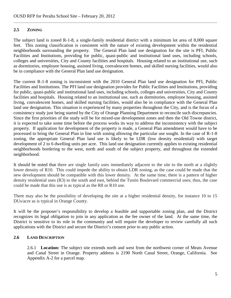#### **2.5 ZONING**

The subject land is zoned R-1-8, a single-family residential district with a minimum lot area of 8,000 square feet. This zoning classification is consistent with the nature of existing development within the residential neighborhoods surrounding the property. The General Plan land use designation for the site is PFI, Public Facilities and Institutions, providing for public, quasi-public and institutional land uses, including schools, colleges and universities, City and County facilities and hospitals. Housing related to an institutional use, such as dormitories, employee housing, assisted living, convalescent homes, and skilled nursing facilities, would also be in compliance with the General Plan land use designation.

The current R-1-8 zoning is inconsistent with the 2010 General Plan land use designation for PFI, Public Facilities and Institutions. The PFI land use designation provides for Public Facilities and Institutions, providing for public, quasi-public and institutional land uses, including schools, colleges and universities, City and County facilities and hospitals. Housing related to an institutional use, such as dormitories, employee housing, assisted living, convalescent homes, and skilled nursing facilities, would also be in compliance with the General Plan land use designation. This situation is experienced by many properties throughout the City, and is the focus of a consistency study just being started by the City of Orange Planning Department to reconcile such discrepancies. Since the first priorities of the study will be for mixed-use development zones and then the Old Towne district, it is expected to take some time before the process works its way to address the inconsistency with the subject property. If application for development of the property is made, a General Plan amendment would have to be processed to bring the General Plan in line with zoning allowing the particular use sought. In the case of R-1-8 zoning, the appropriate General Plan land use is likely to be LDR (low density residential) with target development of 2 to 6 dwelling units per acre. This land use designation currently applies to existing residential neighborhoods bordering to the west, north and south of the subject property, and throughout the extended neighborhood.

It should be noted that there are single family uses immediately adjacent to the site to the north at a slightly lower density of R10. This could impede the ability to obtain LDR zoning, as the case could be made that the new development should be compatible with this lower density. At the same time, there is a pattern of higher density residential uses (R3) to the south and east, behind the Tustin Boulevard commercial uses; thus, the case could be made that this use is as typical as the R8 or R10 use.

There may also be the possibility of developing the site at a higher residential density, for instance 10 to 15 DUs/acre as is typical in Orange County.

It will be the proposer's responsibility to develop a feasible and supportable zoning plan, and the District recognizes its legal obligation to join in any application as the fee owner of the land. At the same time, the District is sensitive to its role in the community and will require the developer to review carefully all such applications with the District and secure the District's consent prior to any public action.

#### **2.6 LAND DESCRIPTION**

2.6.1 **Location:** The subject site extends north and west from the northwest corner of Meats Avenue and Canal Street in Orange. Property address is 2190 North Canal Street, Orange, California. See Appendix A-2 for a parcel map.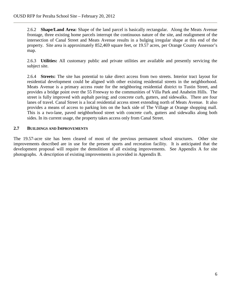2.6.2 **Shape/Land Area:** Shape of the land parcel is basically rectangular. Along the Meats Avenue frontage, three existing home parcels interrupt the continuous nature of the site, and realignment of the intersection of Canal Street and Meats Avenue results in a bulging irregular shape at this end of the property. Site area is approximately 852,469 square feet, or 19.57 acres, per Orange County Assessor's map.

2.6.3 **Utilities:** All customary public and private utilities are available and presently servicing the subject site.

2.6.4 **Streets:** The site has potential to take direct access from two streets. Interior tract layout for residential development could be aligned with other existing residential streets in the neighborhood. Meats Avenue is a primary access route for the neighboring residential district to Tustin Street, and provides a bridge point over the 55 Freeway to the communities of Villa Park and Anaheim Hills. The street is fully improved with asphalt paving; and concrete curb, gutters, and sidewalks. There are four lanes of travel. Canal Street is a local residential access street extending north of Meats Avenue. It also provides a means of access to parking lots on the back side of The Village at Orange shopping mall. This is a two-lane, paved neighborhood street with concrete curb, gutters and sidewalks along both sides. In its current usage, the property takes access only from Canal Street.

#### **2.7 BUILDINGS AND IMPROVEMENTS**

The 19.57-acre site has been cleared of most of the previous permanent school structures. Other site improvements described are in use for the present sports and recreation facility. It is anticipated that the development proposal will require the demolition of all existing improvements. See Appendix A for site photographs. A description of existing improvements is provided in Appendix B.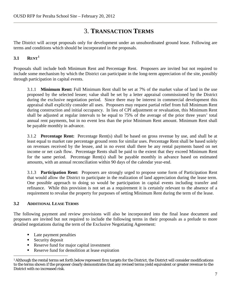## 3. **TRANSACTION TERMS**

The District will accept proposals only for development under an unsubordinated ground lease. Following are terms and conditions which should be incorporated in the proposals.

#### **3.1 RENT[1](#page-9-0)**

Proposals shall include both Minimum Rent and Percentage Rent. Proposers are invited but not required to include some mechanism by which the District can participate in the long-term appreciation of the site, possibly through participation in capital events.

3.1.1 **Minimum Rent:** Full Minimum Rent shall be set at 7% of the market value of land in the use proposed by the selected lessee; value shall be set by a letter appraisal commissioned by the District during the exclusive negotiation period. Since there may be interest in commercial development this appraisal shall explicitly consider all uses. Proposers may request partial relief from full Minimum Rent during construction and initial occupancy. In lieu of CPI adjustment or revaluation, this Minimum Rent shall be adjusted at regular intervals to be equal to 75% of the average of the prior three years' total annual rent payments, but in no event less than the prior Minimum Rent amount. Minimum Rent shall be payable monthly in advance.

3.1.2 **Percentage Rent:** Percentage Rent(s) shall be based on gross revenue by use, and shall be at least equal to market rate percentage ground rents for similar uses. Percentage Rent shall be based solely on revenues received by the lessee, and in no event shall there be any rental payments based on net income or net cash flow. Percentage Rents shall be paid to the extent that they exceed Minimum Rent for the same period. Percentage Rent(s) shall be payable monthly in advance based on estimated amounts, with an annual reconciliation within 90 days of the calendar year-end.

3.1.3 **Participation Rent:** Proposers are strongly urged to propose some form of Participation Rent that would allow the District to participate in the realization of land appreciation during the lease term. One possible approach to doing so would be participation in capital events including transfer and refinance. While this provision is not set as a requirement it is certainly relevant to the absence of a requirement to revalue the property for purposes of setting Minimum Rent during the term of the lease.

#### **3.2 ADDITIONAL LEASE TERMS**

The following payment and review provisions will also be incorporated into the final lease document and proposers are invited but not required to include the following terms in their proposals as a prelude to more detailed negotiations during the term of the Exclusive Negotiating Agreement:

- Late payment penalties
- $S$ ecurity deposit
- Reserve fund for major capital investment
- Reserve fund for demolition at lease expiration

<span id="page-9-0"></span> <sup>1</sup> Although the rental terms set forth below represent firm targets for the District, the District will consider modifications to the terms shown if the proposer clearly demonstrates that any revised terms yield equivalent or greater revenue to the District with no increased risk.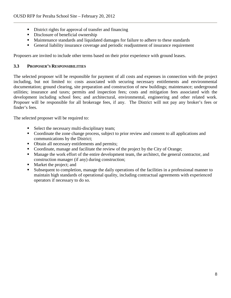- District rights for approval of transfer and financing
- Disclosure of beneficial ownership
- Maintenance standards and liquidated damages for failure to adhere to these standards
- General liability insurance coverage and periodic readjustment of insurance requirement

Proposers are invited to include other terms based on their prior experience with ground leases.

#### **3.3 PROPOSER'S RESPONSIBILITIES**

The selected proposer will be responsible for payment of all costs and expenses in connection with the project including, but not limited to: costs associated with securing necessary entitlements and environmental documentation; ground clearing, site preparation and construction of new buildings; maintenance; underground utilities; insurance and taxes; permits and inspection fees; costs and mitigation fees associated with the development including school fees; and architectural, environmental, engineering and other related work. Proposer will be responsible for all brokerage fees, if any. The District will not pay any broker's fees or finder's fees.

The selected proposer will be required to:

- Select the necessary multi-disciplinary team;
- Coordinate the zone change process, subject to prior review and consent to all applications and communications by the District;
- Obtain all necessary entitlements and permits;
- Coordinate, manage and facilitate the review of the project by the City of Orange;
- Manage the work effort of the entire development team, the architect, the general contractor, and construction manager (if any) during construction;
- Market the project; and
- Subsequent to completion, manage the daily operations of the facilities in a professional manner to maintain high standards of operational quality, including contractual agreements with experienced operators if necessary to do so.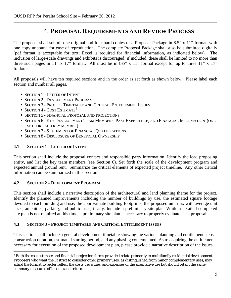## 4. **PROPOSAL REQUIREMENTS AND REVIEW PROCESS**

The proposer shall submit one original and four hard copies of a Proposal Package in 8.5" x 11" format, with one copy unbound for ease of reproduction. The complete Proposal Package shall also be submitted digitally (pdf format is acceptable for text; Excel is required for financial information, as indicated below). The inclusion of large-scale drawings and exhibits is discouraged; if included, these shall be limited to no more than three such pages in 11" x 17" format. All must be in  $8\frac{1}{2}$ " x 11" format except for up to three 11" x 17" foldouts.

All proposals will have ten required sections and in the order as set forth as shown below. Please label each section and number all pages.

- SECTION 1 LETTER OF INTENT
- **SECTION 2 DEVELOPMENT PROGRAM**
- **SECTION 3 PROJECT TIMETABLE AND CRITICAL ENTITLEMENT ISSUES**
- $\blacksquare$  SECTION 4 COST ESTIMATE<sup>[2](#page-11-0)</sup>
- **SECTION 5 FINANCIAL PROPOSAL AND PROJECTIONS**
- **SECTION 6 KEY DEVELOPMENT TEAM MEMBERS, PAST EXPERIENCE, AND FINANCIAL INFORMATION (ONE** SET FOR EACH KEY MEMBER)
- **SECTION 7 STATEMENT OF FINANCIAL QUALIFICATIONS**
- **SECTION 8 DISCLOSURE OF BENEFICIAL OWNERSHIP**

#### **4.1 SECTION 1 – LETTER OF INTENT**

This section shall include the proposal contact and responsible party information. Identify the lead proposing entity, and list the key team members (see Section 6). Set forth the scale of the development program and expected annual ground rent. Summarize the critical elements of expected project timeline. Any other critical information can be summarized in this section.

#### **4.2 SECTION 2 – DEVELOPMENT PROGRAM**

This section shall include a narrative description of the architectural and land planning theme for the project. Identify the planned improvements including the number of buildings by use, the estimated square footage devoted to each building and use, the approximate building footprints, the proposed unit mix with average unit sizes, amenities, parking, and public uses, if any. Include a preliminary site plan. While a detailed completed site plan is not required at this time, a preliminary site plan is necessary to properly evaluate each proposal.

#### **4.3 SECTION 3 – PROJECT TIMETABLE AND CRITICAL ENTITLEMENT ISSUES**

This section shall include a general development timetable showing the various planning and entitlement steps, construction duration, estimated starting period, and any phasing contemplated. As to acquiring the entitlements necessary for execution of the proposed development plan, please provide a narrative description of the issues

<span id="page-11-0"></span><sup>&</sup>lt;sup>2</sup> Both the cost estimate and financial projection forms provided relate primarily to multifamily residential development. Proposers who want the District to consider other primary uses, as distinguished from minor complementary uses, may adapt the format to better reflect the costs, revenues, and expenses of the alternative use but should retain the same summary measures of income and return.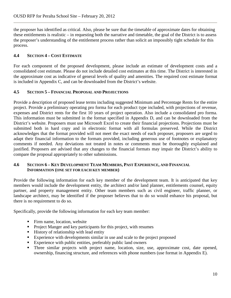the proposer has identified as critical. Also, please be sure that the timetable of approximate dates for obtaining these entitlements is realistic – in requesting both the narrative and timetable, the goal of the District is to assess the proposer's understanding of the entitlement process rather than solicit an impossibly tight schedule for this process.

#### **4.4 SECTION 4 – COST ESTIMATE**

For each component of the proposed development, please include an estimate of development costs and a consolidated cost estimate. Please do not include detailed cost estimates at this time. The District is interested in the approximate cost as indicative of general levels of quality and amenities. The required cost estimate format is included in Appendix C, and can be downloaded from the District's website.

#### **4.5 SECTION 5 – FINANCIAL PROPOSAL AND PROJECTIONS**

Provide a description of proposed lease terms including suggested Minimum and Percentage Rents for the entire project. Provide a preliminary operating pro forma for each product type included, with projections of revenue, expenses and District rents for the first 10 years of project operation. Also include a consolidated pro forma. This information must be submitted in the format specified in Appendix D, and can be downloaded from the District's website. Proposers must use Microsoft Excel to create their financial projections. Projections must be submitted both in hard copy and in electronic format with all formulas preserved. While the District acknowledges that the format provided will not meet the exact needs of each proposer, proposers are urged to adapt their financial information to the formats provided, including generous use of footnotes or explanatory comments if needed. Any deviations not treated in notes or comments must be thoroughly explained and justified. Proposers are advised that any changes to the financial formats may impair the District's ability to compare the proposal appropriately to other submissions.

#### **4.6 SECTION 6 – KEY DEVELOPMENT TEAM MEMBERS, PAST EXPERIENCE, AND FINANCIAL INFORMATION (ONE SET FOR EACH KEY MEMBER)**

Provide the following information for each key member of the development team. It is anticipated that key members would include the development entity, the architect and/or land planner, entitlements counsel, equity partner, and property management entity. Other team members such as civil engineer, traffic planner, or landscape architect, may be identified if the proposer believes that to do so would enhance his proposal, but there is no requirement to do so.

Specifically, provide the following information for each key team member:

- Firm name, location, website
- **Project Manger and key participants for this project, with resumes**
- History of relationship with lead entity
- Experience with developments similar in use and scale to the project proposed
- Experience with public entities, preferably public land owners
- Three similar projects with project name, location, size, use, approximate cost, date opened, ownership, financing structure, and references with phone numbers (use format in Appendix E).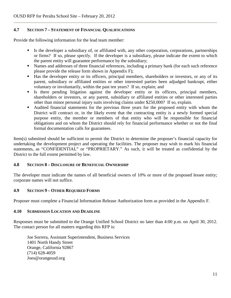#### **4.7 SECTION 7 – STATEMENT OF FINANCIAL QUALIFICATIONS**

Provide the following information for the lead team member:

- Is the developer a subsidiary of, or affiliated with, any other corporation, corporations, partnerships or firms? If so, please specify. If the developer is a subsidiary, please indicate the extent to which the parent entity will guarantee performance by the subsidiary;
- Names and addresses of three financial references, including a primary bank (for each such reference please provide the release form shown in Appendix F);
- Has the developer entity or its officers, principal members, shareholders or investors, or any of its parent, subsidiary or affiliated entities or other interested parties been adjudged bankrupt, either voluntary or involuntarily, within the past ten years? If so, explain; and
- Is there pending litigation against the developer entity or its officers, principal members, shareholders or investors, or any parent, subsidiary or affiliated entities or other interested parties other than minor personal injury suits involving claims under \$250,000? If so, explain.
- Audited financial statements for the previous three years for the proposed entity with whom the District will contract or, in the likely event that the contracting entity is a newly formed special purpose entity, the member or members of that entity who will be responsible for financial obligations and on whom the District should rely for financial performance whether or not the final formal documentation calls for guarantees.

Item(s) submitted should be sufficient to permit the District to determine the proposer's financial capacity for undertaking the development project and operating the facilities. The proposer may wish to mark his financial statements, as "CONFIDENTIAL" or "PROPRIETARY." As such, it will be treated as confidential by the District to the full extent permitted by law.

#### **4.8 SECTION 8 – DISCLOSURE OF BENEFICIAL OWNERSHIP**

The developer must indicate the names of all beneficial owners of 10% or more of the proposed lessee entity; corporate names will not suffice.

#### **4.9 SECTION 9 – OTHER REQUIRED FORMS**

Proposer must complete a Financial Information Release Authorization form as provided in the Appendix F.

#### **4.10 SUBMISSION LOCATION AND DEADLINE**

Responses must be submitted to the Orange Unified School District no later than 4:00 p.m. on April 30, 2012. The contact person for all matters regarding this RFP is:

Joe Sorrera, Assistant Superintendent, Business Services 1401 North Handy Street Orange, California 92867 (714) 628-4059 Joes@orangeusd.org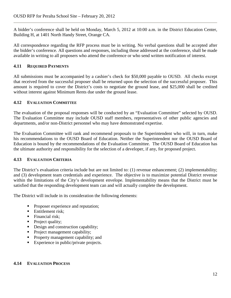A bidder's conference shall be held on Monday, March 5, 2012 at 10:00 a.m. in the District Education Center, Building H, at 1401 North Handy Street, Orange CA.

All correspondence regarding the RFP process must be in writing. No verbal questions shall be accepted after the bidder's conference. All questions and responses, including those addressed at the conference, shall be made available in writing to all proposers who attend the conference or who send written notification of interest.

#### **4.11 REQUIRED PAYMENTS**

All submissions must be accompanied by a cashier's check for \$50,000 payable to OUSD. All checks except that received from the successful proposer shall be returned upon the selection of the successful proposer. This amount is required to cover the District's costs to negotiate the ground lease, and \$25,000 shall be credited without interest against Minimum Rents due under the ground lease.

#### **4.12 EVALUATION COMMITTEE**

The evaluation of the proposal responses will be conducted by an "Evaluation Committee" selected by OUSD. The Evaluation Committee may include OUSD staff members, representatives of other public agencies and departments, and/or non-District personnel who may have demonstrated expertise.

The Evaluation Committee will rank and recommend proposals to the Superintendent who will, in turn, make his recommendations to the OUSD Board of Education. Neither the Superintendent nor the OUSD Board of Education is bound by the recommendations of the Evaluation Committee. The OUSD Board of Education has the ultimate authority and responsibility for the selection of a developer, if any, for proposed project.

#### **4.13 EVALUATION CRITERIA**

The District's evaluation criteria include but are not limited to: (1) revenue enhancement; (2) implementability; and (3) development team credentials and experience. The objective is to maximize potential District revenue within the limitations of the City's development envelope. Implementability means that the District must be satisfied that the responding development team can and will actually complete the development.

The District will include in its consideration the following elements:

- Proposer experience and reputation;
- Entitlement risk:
- $\blacksquare$  Financial risk:
- Project quality;
- Design and construction capability;
- Project management capability;
- **Property management capability; and**
- Experience in public/private projects.

#### **4.14 EVALUATION PROCESS**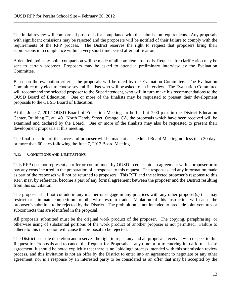The initial review will compare all proposals for compliance with the submission requirements. Any proposals with significant omissions may be rejected and the proposers will be notified of their failure to comply with the requirements of the RFP process. The District reserves the right to request that proposers bring their submissions into compliance within a very short time period after notification.

A detailed, point-by-point comparison will be made of all complete proposals. Requests for clarification may be sent to certain proposer. Proposers may be asked to attend a preliminary interview by the Evaluation Committee.

Based on the evaluation criteria, the proposals will be rated by the Evaluation Committee. The Evaluation Committee may elect to choose several finalists who will be asked to an interview. The Evaluation Committee will recommend the selected proposer to the Superintendent, who will in turn make his recommendations to the OUSD Board of Education. One or more of the finalists may be requested to present their development proposals to the OUSD Board of Education.

At the June 7, 2012 OUSD Board of Education Meeting, to be held at 7:00 p.m. in the District Education Center, Building H, at 1401 North Handy Street, Orange, CA, the proposals which have been received will be examined and declared by the Board. One or more of the finalists may also be requested to present their development proposals at this meeting.

The final selection of the successful proposer will be made at a scheduled Board Meeting not less than 30 days or more than 60 days following the June 7, 2012 Board Meeting.

#### **4.15 CONDITIONS AND LIMITATIONS**

This RFP does not represent an offer or commitment by OUSD to enter into an agreement with a proposer or to pay any costs incurred in the preparation of a response to this request. The responses and any information made as part of the responses will not be returned to proposers. This RFP and the selected proposer's response to this RFP, may, by reference, become a part of any formal agreement between the proposer and the District resulting from this solicitation.

The proposer shall not collude in any manner or engage in any practices with any other proposer(s) that may restrict or eliminate competition or otherwise restrain trade. Violation of this instruction will cause the proposer's submittal to be rejected by the District. The prohibition is not intended to preclude joint ventures or subcontracts that are identified in the proposal.

All proposals submitted must be the original work product of the proposer. The copying, paraphrasing, or otherwise using of substantial portions of the work product of another proposer is not permitted. Failure to adhere to this instruction will cause the proposal to be rejected.

The District has sole discretion and reserves the right to reject any and all proposals received with respect to this Request for Proposals and to cancel the Request for Proposals at any time prior to entering into a formal lease agreement. It should be noted explicitly that there is no "bidding" process intended with this submission review process, and this invitation is not an offer by the District to enter into an agreement to negotiate or any other agreement, nor is a response by an interested party to be considered as an offer that may be accepted by the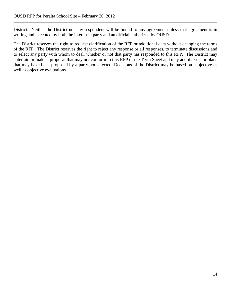District. Neither the District nor any respondent will be bound to any agreement unless that agreement is in writing and executed by both the interested party and an official authorized by OUSD.

The District reserves the right to request clarification of the RFP or additional data without changing the terms of the RFP. The District reserves the right to reject any response or all responses, to terminate discussions and to select any party with whom to deal, whether or not that party has responded to this RFP. The District may entertain or make a proposal that may not conform to this RFP or the Term Sheet and may adopt terms or plans that may have been proposed by a party not selected. Decisions of the District may be based on subjective as well as objective evaluations.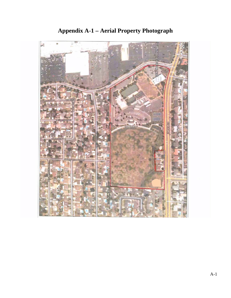

**Appendix A-1 – Aerial Property Photograph**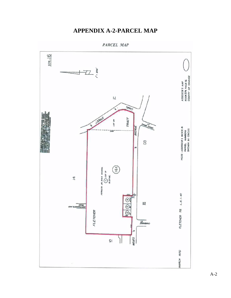## **APPENDIX A-2-PARCEL MAP**

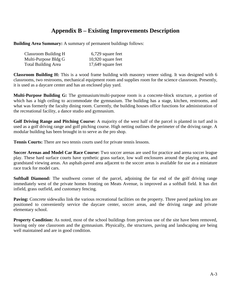## **Appendix B – Existing Improvements Description**

**Building Area Summary:** A summary of permanent buildings follows:

| Classroom Building H       | 6,729 square feet    |
|----------------------------|----------------------|
| Multi-Purpose Bldg G       | $10,920$ square feet |
| <b>Total Building Area</b> | 17,649 square feet   |

**Classroom Building H:** This is a wood frame building with masonry veneer siding. It was designed with 6 classrooms, two restrooms, mechanical equipment room and supplies room for the science classroom. Presently, it is used as a daycare center and has an enclosed play yard.

**Multi-Purpose Building G:** The gymnasium/multi-purpose room is a concrete-block structure, a portion of which has a high ceiling to accommodate the gymnasium. The building has a stage, kitchen, restrooms, and what was formerly the faculty dining room. Currently, the building houses office functions for administration of the recreational facility, a dance studio and gymnasium.

**Golf Driving Range and Pitching Course:** A majority of the west half of the parcel is planted in turf and is used as a golf driving range and golf pitching course. High netting outlines the perimeter of the driving range. A modular building has been brought in to serve as the pro shop.

**Tennis Courts:** There are two tennis courts used for private tennis lessons.

**Soccer Arenas and Model Car Race Course:** Two soccer arenas are used for practice and arena soccer league play. These hard surface courts have synthetic grass surface, low wall enclosures around the playing area, and grandstand viewing areas. An asphalt-paved area adjacent to the soccer areas is available for use as a miniature race track for model cars.

**Softball Diamond:** The southwest corner of the parcel, adjoining the far end of the golf driving range immediately west of the private homes fronting on Meats Avenue, is improved as a softball field. It has dirt infield, grass outfield, and customary fencing.

**Paving:** Concrete sidewalks link the various recreational facilities on the property. Three paved parking lots are positioned to conveniently service the daycare center, soccer areas, and the driving range and private elementary school.

**Property Condition:** As noted, most of the school buildings from previous use of the site have been removed, leaving only one classroom and the gymnasium. Physically, the structures, paving and landscaping are being well maintained and are in good condition.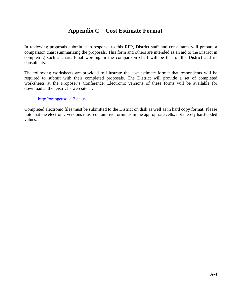## **Appendix C – Cost Estimate Format**

In reviewing proposals submitted in response to this RFP, District staff and consultants will prepare a comparison chart summarizing the proposals. This form and others are intended as an aid to the District in completing such a chart. Final wording in the comparison chart will be that of the District and its consultants.

The following worksheets are provided to illustrate the cost estimate format that respondents will be required to submit with their completed proposals. The District will provide a set of completed worksheets at the Proposer's Conference. Electronic versions of these forms will be available for download at the District's web site at:

#### [http://orangeusd.k12.ca.us](http://orangeusd.k12.ca.us/)

Completed electronic files must be submitted to the District on disk as well as in hard copy format. Please note that the electronic versions must contain live formulas in the appropriate cells, not merely hard-coded values.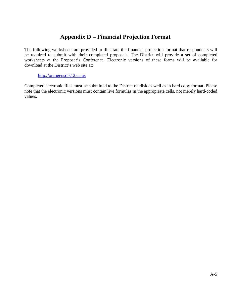## **Appendix D – Financial Projection Format**

The following worksheets are provided to illustrate the financial projection format that respondents will be required to submit with their completed proposals. The District will provide a set of completed worksheets at the Proposer's Conference. Electronic versions of these forms will be available for download at the District's web site at:

#### [http://orangeusd.k12.ca.us](http://orangeusd.k12.ca.us/)

Completed electronic files must be submitted to the District on disk as well as in hard copy format. Please note that the electronic versions must contain live formulas in the appropriate cells, not merely hard-coded values.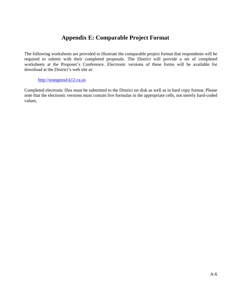## **Appendix E: Comparable Project Format**

The following worksheets are provided to illustrate the comparable project format that respondents will be required to submit with their completed proposals. The District will provide a set of completed worksheets at the Proposer's Conference. Electronic versions of these forms will be available for download at the District's web site at:

#### [http://orangeusd.k12.ca.us](http://orangeusd.k12.ca.us/)

Completed electronic files must be submitted to the District on disk as well as in hard copy format. Please note that the electronic versions must contain live formulas in the appropriate cells, not merely hard-coded values.